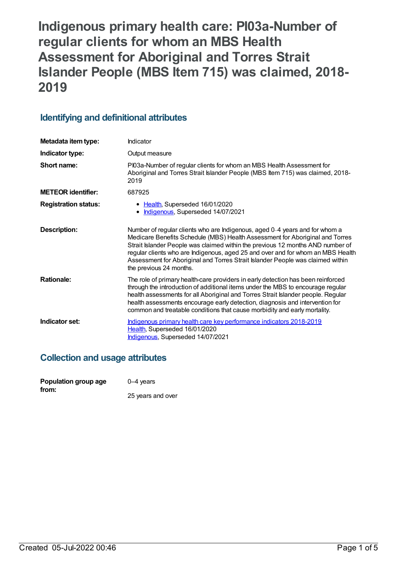**Indigenous primary health care: PI03a-Number of regular clients for whom an MBS Health Assessment for Aboriginal and Torres Strait Islander People (MBS Item 715) was claimed, 2018- 2019**

# **Identifying and definitional attributes**

| Metadata item type:         | Indicator                                                                                                                                                                                                                                                                                                                                                                                                                                     |
|-----------------------------|-----------------------------------------------------------------------------------------------------------------------------------------------------------------------------------------------------------------------------------------------------------------------------------------------------------------------------------------------------------------------------------------------------------------------------------------------|
| Indicator type:             | Output measure                                                                                                                                                                                                                                                                                                                                                                                                                                |
| Short name:                 | PI03a-Number of regular clients for whom an MBS Health Assessment for<br>Aboriginal and Torres Strait Islander People (MBS Item 715) was claimed, 2018-<br>2019                                                                                                                                                                                                                                                                               |
| <b>METEOR identifier:</b>   | 687925                                                                                                                                                                                                                                                                                                                                                                                                                                        |
| <b>Registration status:</b> | • Health, Superseded 16/01/2020<br>• Indigenous, Superseded 14/07/2021                                                                                                                                                                                                                                                                                                                                                                        |
| <b>Description:</b>         | Number of regular clients who are Indigenous, aged 0-4 years and for whom a<br>Medicare Benefits Schedule (MBS) Health Assessment for Aboriginal and Torres<br>Strait Islander People was claimed within the previous 12 months AND number of<br>regular clients who are Indigenous, aged 25 and over and for whom an MBS Health<br>Assessment for Aboriginal and Torres Strait Islander People was claimed within<br>the previous 24 months. |
| <b>Rationale:</b>           | The role of primary health-care providers in early detection has been reinforced<br>through the introduction of additional items under the MBS to encourage regular<br>health assessments for all Aboriginal and Torres Strait Islander people. Regular<br>health assessments encourage early detection, diagnosis and intervention for<br>common and treatable conditions that cause morbidity and early mortality.                          |
| Indicator set:              | Indigenous primary health care key performance indicators 2018-2019<br>Health, Superseded 16/01/2020<br>Indigenous, Superseded 14/07/2021                                                                                                                                                                                                                                                                                                     |

## **Collection and usage attributes**

| Population group age | $0-4$ years       |
|----------------------|-------------------|
| from:                |                   |
|                      | 25 years and over |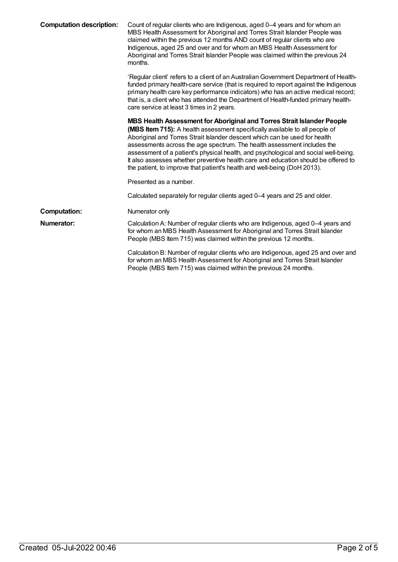| <b>Computation description:</b> | Count of regular clients who are Indigenous, aged 0-4 years and for whom an<br>MBS Health Assessment for Aboriginal and Torres Strait Islander People was<br>claimed within the previous 12 months AND count of regular clients who are<br>Indigenous, aged 25 and over and for whom an MBS Health Assessment for<br>Aboriginal and Torres Strait Islander People was claimed within the previous 24<br>months.                                                                                                                                                         |
|---------------------------------|-------------------------------------------------------------------------------------------------------------------------------------------------------------------------------------------------------------------------------------------------------------------------------------------------------------------------------------------------------------------------------------------------------------------------------------------------------------------------------------------------------------------------------------------------------------------------|
|                                 | 'Regular client' refers to a client of an Australian Government Department of Health-<br>funded primary health-care service (that is required to report against the Indigenous<br>primary health care key performance indicators) who has an active medical record;<br>that is, a client who has attended the Department of Health-funded primary health-<br>care service at least 3 times in 2 years.                                                                                                                                                                  |
|                                 | MBS Health Assessment for Aboriginal and Torres Strait Islander People<br>(MBS Item 715): A health assessment specifically available to all people of<br>Aboriginal and Torres Strait Islander descent which can be used for health<br>assessments across the age spectrum. The health assessment includes the<br>assessment of a patient's physical health, and psychological and social well-being.<br>It also assesses whether preventive health care and education should be offered to<br>the patient, to improve that patient's health and well-being (DoH 2013). |
|                                 | Presented as a number.                                                                                                                                                                                                                                                                                                                                                                                                                                                                                                                                                  |
|                                 | Calculated separately for regular clients aged 0–4 years and 25 and older.                                                                                                                                                                                                                                                                                                                                                                                                                                                                                              |
| <b>Computation:</b>             | Numerator only                                                                                                                                                                                                                                                                                                                                                                                                                                                                                                                                                          |
| Numerator:                      | Calculation A: Number of regular clients who are Indigenous, aged 0-4 years and<br>for whom an MBS Health Assessment for Aboriginal and Torres Strait Islander<br>People (MBS Item 715) was claimed within the previous 12 months.                                                                                                                                                                                                                                                                                                                                      |
|                                 | Calculation B: Number of regular clients who are Indigenous, aged 25 and over and<br>for whom an MBS Health Assessment for Aboriginal and Torres Strait Islander<br>People (MBS Item 715) was claimed within the previous 24 months.                                                                                                                                                                                                                                                                                                                                    |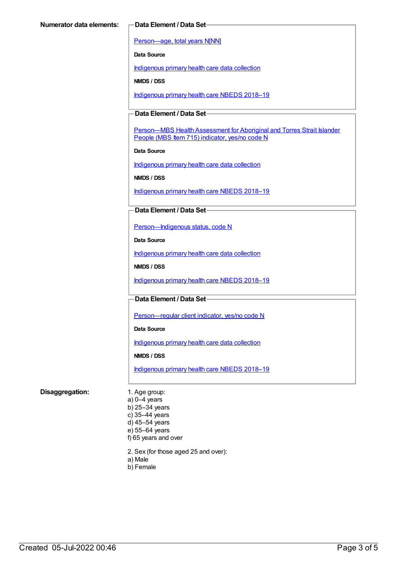[Person—age,](https://meteor.aihw.gov.au/content/303794) total years N[NN]

**Data Source**

[Indigenous](https://meteor.aihw.gov.au/content/430643) primary health care data collection

**NMDS / DSS**

[Indigenous](https://meteor.aihw.gov.au/content/694101) primary health care NBEDS 2018-19

### **Data Element / Data Set**

Person-MBS Health Assessment for Aboriginal and Torres Strait Islander People (MBS Item 715) indicator, yes/no code N

**Data Source**

[Indigenous](https://meteor.aihw.gov.au/content/430643) primary health care data collection

**NMDS / DSS**

[Indigenous](https://meteor.aihw.gov.au/content/694101) primary health care NBEDS 2018–19

#### **Data Element / Data Set**

[Person—Indigenous](https://meteor.aihw.gov.au/content/602543) status, code N

**Data Source**

[Indigenous](https://meteor.aihw.gov.au/content/430643) primary health care data collection

**NMDS / DSS**

[Indigenous](https://meteor.aihw.gov.au/content/694101) primary health care NBEDS 2018-19

#### **Data Element / Data Set**

Person-regular client indicator, yes/no code N

**Data Source**

[Indigenous](https://meteor.aihw.gov.au/content/430643) primary health care data collection

**NMDS / DSS**

[Indigenous](https://meteor.aihw.gov.au/content/694101) primary health care NBEDS 2018–19

#### **Disaggregation:** 1. Age group:

a) 0–4 years b) 25–34 years c) 35–44 years d) 45–54 years e) 55–64 years f) 65 years and over

2. Sex (for those aged 25 and over):

- a) Male
- b) Female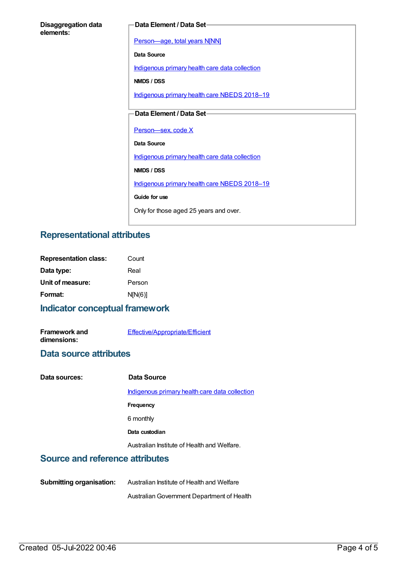| <b>Disaggregation data</b> |  |
|----------------------------|--|
| elements:                  |  |

#### **Data Element / Data Set**

[Person—age,](https://meteor.aihw.gov.au/content/303794) total years N[NN]

**Data Source**

[Indigenous](https://meteor.aihw.gov.au/content/430643) primary health care data collection

**NMDS / DSS**

[Indigenous](https://meteor.aihw.gov.au/content/694101) primary health care NBEDS 2018-19

### **Data Element / Data Set**

Person-sex, code X

**Data Source**

[Indigenous](https://meteor.aihw.gov.au/content/430643) primary health care data collection

**NMDS / DSS**

[Indigenous](https://meteor.aihw.gov.au/content/694101) primary health care NBEDS 2018-19

**Guide for use**

Only for those aged 25 years and over.

## **Representational attributes**

| <b>Representation class:</b> | Count   |
|------------------------------|---------|
| Data type:                   | Real    |
| Unit of measure:             | Person  |
| Format:                      | N[N(6)] |

## **Indicator conceptual framework**

**Framework and dimensions:** [Effective/Appropriate/Efficient](https://meteor.aihw.gov.au/content/410681)

## **Data source attributes**

| Data sources:                          | Data Source                                    |
|----------------------------------------|------------------------------------------------|
|                                        | Indigenous primary health care data collection |
|                                        | Frequency                                      |
|                                        | 6 monthly                                      |
|                                        | Data custodian                                 |
|                                        | Australian Institute of Health and Welfare.    |
| <b>Source and reference attributes</b> |                                                |
|                                        |                                                |

**Submitting organisation:** Australian Institute of Health and Welfare AustralianGovernment Department of Health